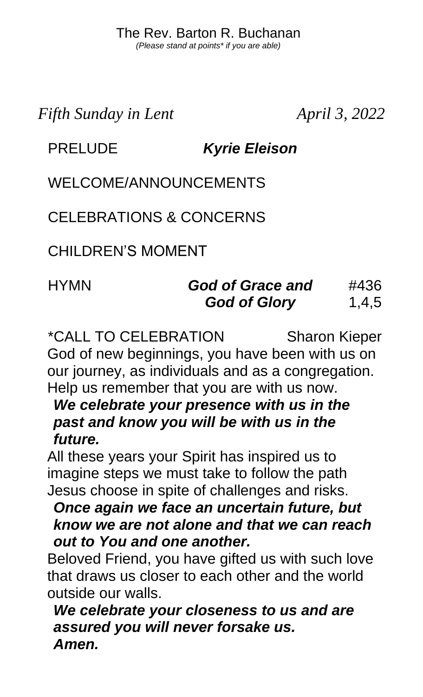*Fifth Sunday in Lent April 3, 2022*

## PRELUDE *Kyrie Eleison*

WELCOME/ANNOUNCEMENTS

CELEBRATIONS & CONCERNS

CHILDREN'S MOMENT

#### HYMN *God of Grace and God of Glory*  #436 1,4,5

\*CALL TO CELEBRATION Sharon Kieper God of new beginnings, you have been with us on our journey, as individuals and as a congregation. Help us remember that you are with us now.

*We celebrate your presence with us in the past and know you will be with us in the future.*

All these years your Spirit has inspired us to imagine steps we must take to follow the path Jesus choose in spite of challenges and risks.

#### *Once again we face an uncertain future, but know we are not alone and that we can reach out to You and one another.*

Beloved Friend, you have gifted us with such love that draws us closer to each other and the world outside our walls.

*We celebrate your closeness to us and are assured you will never forsake us. Amen.*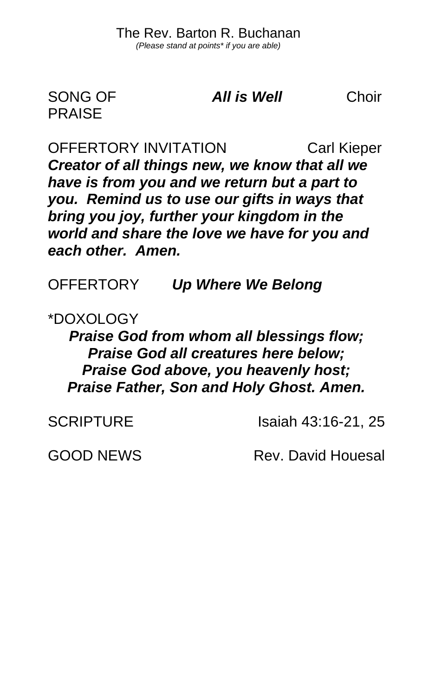SONG OF PRAISE

*All is Well* Choir

OFFERTORY INVITATION Carl Kieper *Creator of all things new, we know that all we have is from you and we return but a part to you. Remind us to use our gifts in ways that bring you joy, further your kingdom in the world and share the love we have for you and each other. Amen.*

OFFERTORY *Up Where We Belong*

\*DOXOLOGY

*Praise God from whom all blessings flow; Praise God all creatures here below; Praise God above, you heavenly host; Praise Father, Son and Holy Ghost. Amen.*

SCRIPTURE Isaiah 43:16-21, 25

GOOD NEWS Rev. David Houesal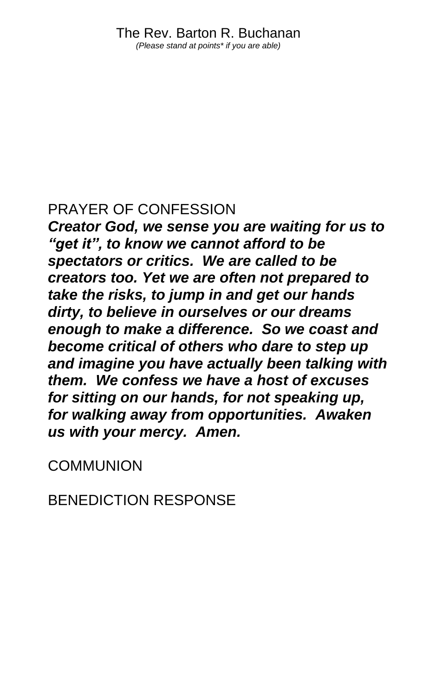### PRAYER OF CONFESSION

*Creator God, we sense you are waiting for us to "get it", to know we cannot afford to be spectators or critics. We are called to be creators too. Yet we are often not prepared to take the risks, to jump in and get our hands dirty, to believe in ourselves or our dreams enough to make a difference. So we coast and become critical of others who dare to step up and imagine you have actually been talking with them. We confess we have a host of excuses for sitting on our hands, for not speaking up, for walking away from opportunities. Awaken us with your mercy. Amen.*

**COMMUNION** 

BENEDICTION RESPONSE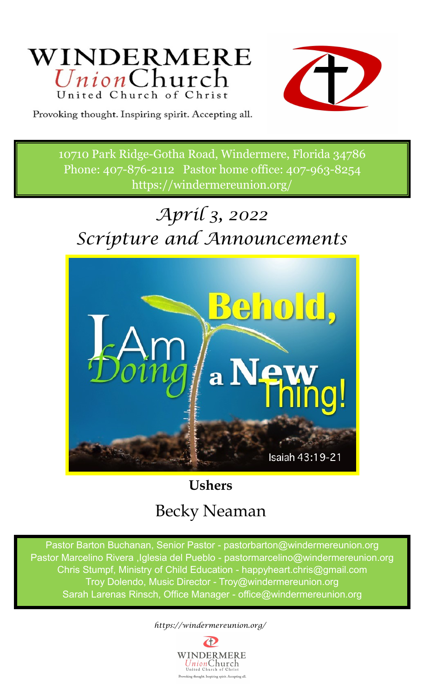



Provoking thought. Inspiring spirit. Accepting all.

10710 Park Ridge-Gotha Road, Windermere, Florida 34786 Phone: 407-876-2112 Pastor home office: 407-963-8254 https://windermereunion.org/

# *April 3, 2022 Scripture and Announcements*



# **Ushers** Becky Neaman

Pastor Barton Buchanan, Senior Pastor - pastorbarton@windermereunion.org Pastor Marcelino Rivera ,Iglesia del Pueblo - pastormarcelino@windermereunion.org Chris Stumpf, Ministry of Child Education - happyheart.chris@gmail.com Troy Dolendo, Music Director - Troy@windermereunion.org Sarah Larenas Rinsch, Office Manager - office@windermereunion.org

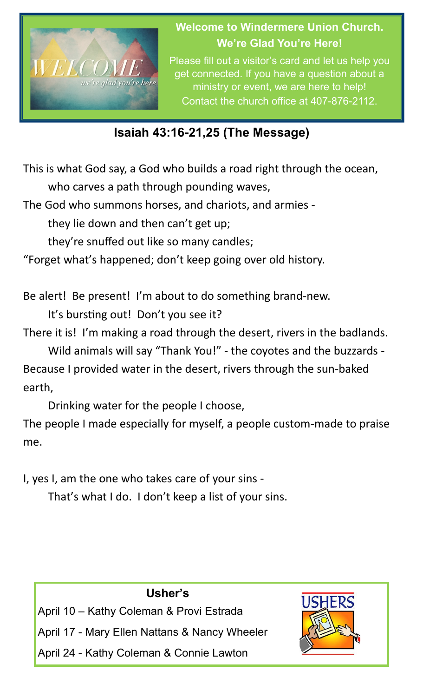

**Welcome to Windermere Union Church. We're Glad You're Here!**

Please fill out a visitor's card and let us help you get connected. If you have a question about a ministry or event, we are here to help! Contact the church office at 407-876-2112.

#### **Isaiah 43:16-21,25 (The Message)**

This is what God say, a God who builds a road right through the ocean, who carves a path through pounding waves,

The God who summons horses, and chariots, and armies -

they lie down and then can't get up;

they're snuffed out like so many candles;

"Forget what's happened; don't keep going over old history.

Be alert! Be present! I'm about to do something brand-new.

It's bursting out! Don't you see it?

There it is! I'm making a road through the desert, rivers in the badlands.

Wild animals will say "Thank You!" - the coyotes and the buzzards - Because I provided water in the desert, rivers through the sun-baked earth,

Drinking water for the people I choose,

The people I made especially for myself, a people custom-made to praise me.

I, yes I, am the one who takes care of your sins -

That's what I do. I don't keep a list of your sins.

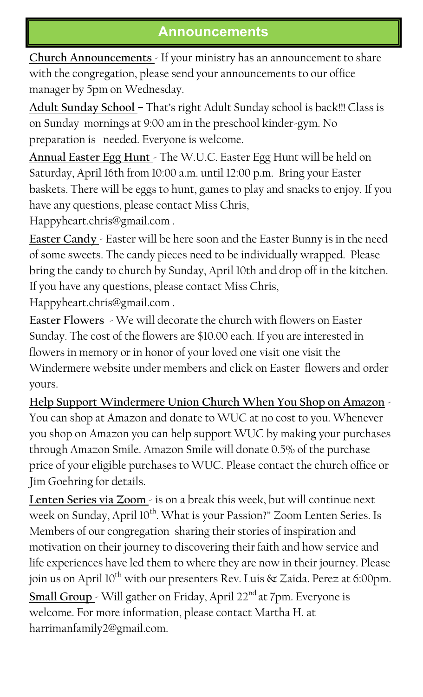#### **Announcements**

**Church Announcements** - If your ministry has an announcement to share with the congregation, please send your announcements to our office manager by 5pm on Wednesday.

**Adult Sunday School** – That's right Adult Sunday school is back!!! Class is on Sunday mornings at 9:00 am in the preschool kinder-gym. No preparation is needed. Everyone is welcome.

**Annual Easter Egg Hunt** - The W.U.C. Easter Egg Hunt will be held on Saturday, April 16th from 10:00 a.m. until 12:00 p.m. Bring your Easter baskets. There will be eggs to hunt, games to play and snacks to enjoy. If you have any questions, please contact Miss Chris,

Happyheart.chris@gmail.com .

**Easter Candy** - Easter will be here soon and the Easter Bunny is in the need of some sweets. The candy pieces need to be individually wrapped. Please bring the candy to church by Sunday, April 10th and drop off in the kitchen. If you have any questions, please contact Miss Chris, Happyheart.chris@gmail.com .

**Easter Flowers** > We will decorate the church with flowers on Easter Sunday. The cost of the flowers are \$10.00 each. If you are interested in flowers in memory or in honor of your loved one visit one visit the Windermere website under members and click on Easter flowers and order yours.

**Help Support Windermere Union Church When You Shop on Amazon** -

You can shop at Amazon and donate to WUC at no cost to you. Whenever you shop on Amazon you can help support WUC by making your purchases through Amazon Smile. Amazon Smile will donate 0.5% of the purchase price of your eligible purchases to WUC. Please contact the church office or Jim Goehring for details.

Lenten Series via Zoom - is on a break this week, but will continue next week on Sunday, April 10<sup>th</sup>. What is your Passion?" Zoom Lenten Series. Is Members of our congregation sharing their stories of inspiration and motivation on their journey to discovering their faith and how service and life experiences have led them to where they are now in their journey. Please join us on April 10<sup>th</sup> with our presenters Rev. Luis  $\&$  Zaida. Perez at 6:00pm. Small Group <sup>-</sup> Will gather on Friday, April 22<sup>nd</sup> at 7pm. Everyone is welcome. For more information, please contact Martha H. at harrimanfamily2@gmail.com.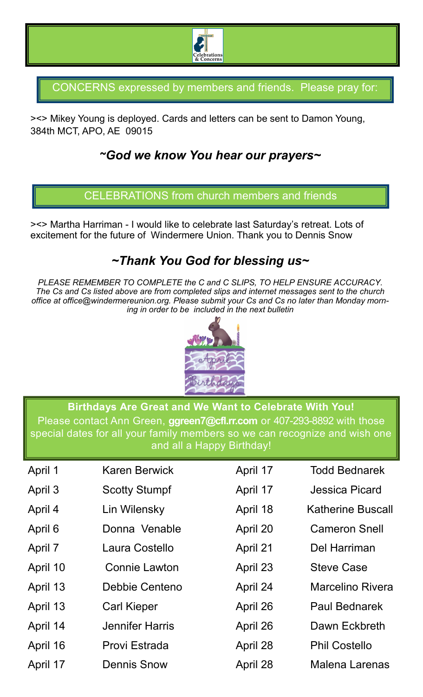

CONCERNS expressed by members and friends. Please pray for:

><> Mikey Young is deployed. Cards and letters can be sent to Damon Young, 384th MCT, APO, AE 09015

#### *~God we know You hear our prayers~*

CELEBRATIONS from church members and friends

><> Martha Harriman - I would like to celebrate last Saturday's retreat. Lots of excitement for the future of Windermere Union. Thank you to Dennis Snow

#### *~Thank You God for blessing us~*

*PLEASE REMEMBER TO COMPLETE the C and C SLIPS, TO HELP ENSURE ACCURACY. The Cs and Cs listed above are from completed slips and internet messages sent to the church office at office@windermereunion.org. Please submit your Cs and Cs no later than Monday morning in order to be included in the next bulletin*



**Birthdays Are Great and We Want to Celebrate With You!** Please contact Ann Green, **[ggreen7@cfl.rr.com](mailto:ggreen7@cfl.rr.com)** or 407-293-8892 with those special dates for all your family members so we can recognize and wish one and all a Happy Birthday!

| April 1  | <b>Karen Berwick</b>   | April 17 | <b>Todd Bednarek</b>     |
|----------|------------------------|----------|--------------------------|
|          |                        |          |                          |
| April 3  | <b>Scotty Stumpf</b>   | April 17 | <b>Jessica Picard</b>    |
| April 4  | Lin Wilensky           | April 18 | <b>Katherine Buscall</b> |
| April 6  | Donna Venable          | April 20 | <b>Cameron Snell</b>     |
| April 7  | Laura Costello         | April 21 | Del Harriman             |
| April 10 | <b>Connie Lawton</b>   | April 23 | <b>Steve Case</b>        |
| April 13 | Debbie Centeno         | April 24 | <b>Marcelino Rivera</b>  |
| April 13 | <b>Carl Kieper</b>     | April 26 | <b>Paul Bednarek</b>     |
| April 14 | <b>Jennifer Harris</b> | April 26 | Dawn Eckbreth            |
| April 16 | Provi Estrada          | April 28 | <b>Phil Costello</b>     |
| April 17 | <b>Dennis Snow</b>     | April 28 | <b>Malena Larenas</b>    |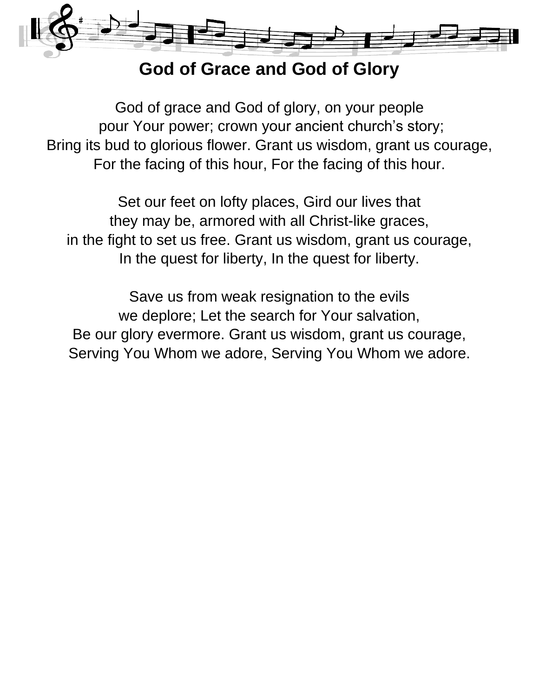

#### **God of Grace and God of Glory**

God of grace and God of glory, on your people pour Your power; crown your ancient church's story; Bring its bud to glorious flower. Grant us wisdom, grant us courage, For the facing of this hour, For the facing of this hour.

Set our feet on lofty places, Gird our lives that they may be, armored with all Christ-like graces, in the fight to set us free. Grant us wisdom, grant us courage, In the quest for liberty, In the quest for liberty.

Save us from weak resignation to the evils we deplore; Let the search for Your salvation, Be our glory evermore. Grant us wisdom, grant us courage, Serving You Whom we adore, Serving You Whom we adore.